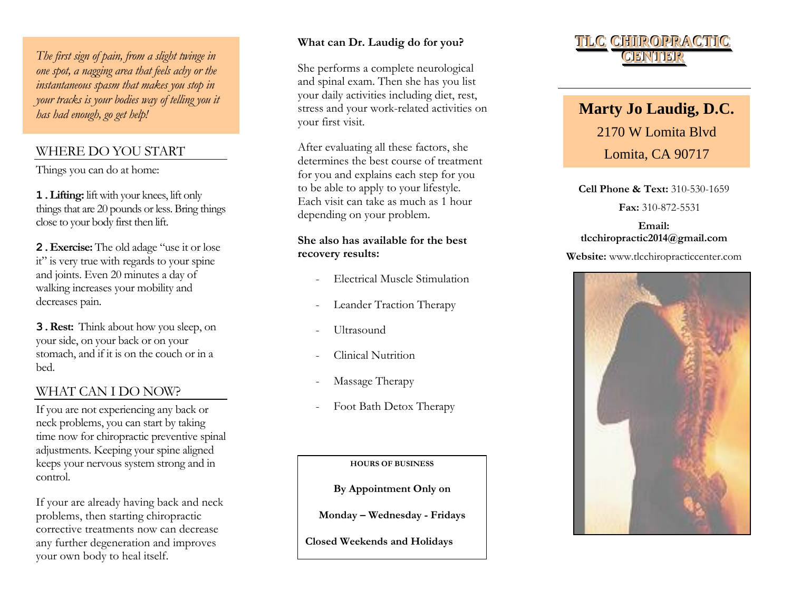*The first sign of pain, from a slight twinge in one spot, a nagging area that feels achy or the instantaneous spasm that makes you stop in your tracks is your bodies way of telling you it has had enough, go get help!*

# WHERE DO YOU START

Things you can do at home:

**1.Lifting:** lift with your knees, lift only things that are 20 pounds or less. Bring things close to your body first then lift.

**2.Exercise:** The old adage "use it or lose it" is very true with regards to your spine and joints. Even 20 minutes a day of walking increases your mobility and decreases pain.

**3.Rest:** Think about how you sleep, on your side, on your back or on your stomach, and if it is on the couch or in a bed.

# WHAT CAN I DO NOW ?

If you are not experiencing any back or neck problems, you can start by taking time now for chiropractic preventive spinal adjustments. Keeping your spine aligned keeps your nervous system strong and in control.

If your are already having back and neck problems , then starting chiropractic corrective treatments now can decrease any further degeneration and improves your own body to heal itself.

#### **What can Dr. Laudig do for you?**

She performs a complete neurological and spinal exam. Then she has you list your daily activities including diet, rest, stress and your work -related activities on your first visit.

After evaluating all these factors, she determines the best course of treatment for you and explains each step for you to be able to apply to your lifestyle. Each visit can take as much as 1 hour depending on your problem.

### **She also has available for the best recovery results:**

- Electrical Muscle Stimulation
- Leander Traction Therapy
- Ultrasound
- Clinical Nutrition
- Massage Therapy
- Foot Bath Detox Therapy

**HOURS OF BUSINESS** 

**By Appointment Only on**

**Monday – Wednesday - Fridays**

**Closed Weekends and Holidays**



# **Marty Jo Laudig, D.C.** 2170 W Lomita Blvd Lomita, CA 90717

**Cell Phone & Text :** 310 -530 -1659  **Fax:** 310 -872 -5531

# **tlcchiropractic2014 @gmail.com Email:**

### **Website :** www.tlcchiropracticcenter.com